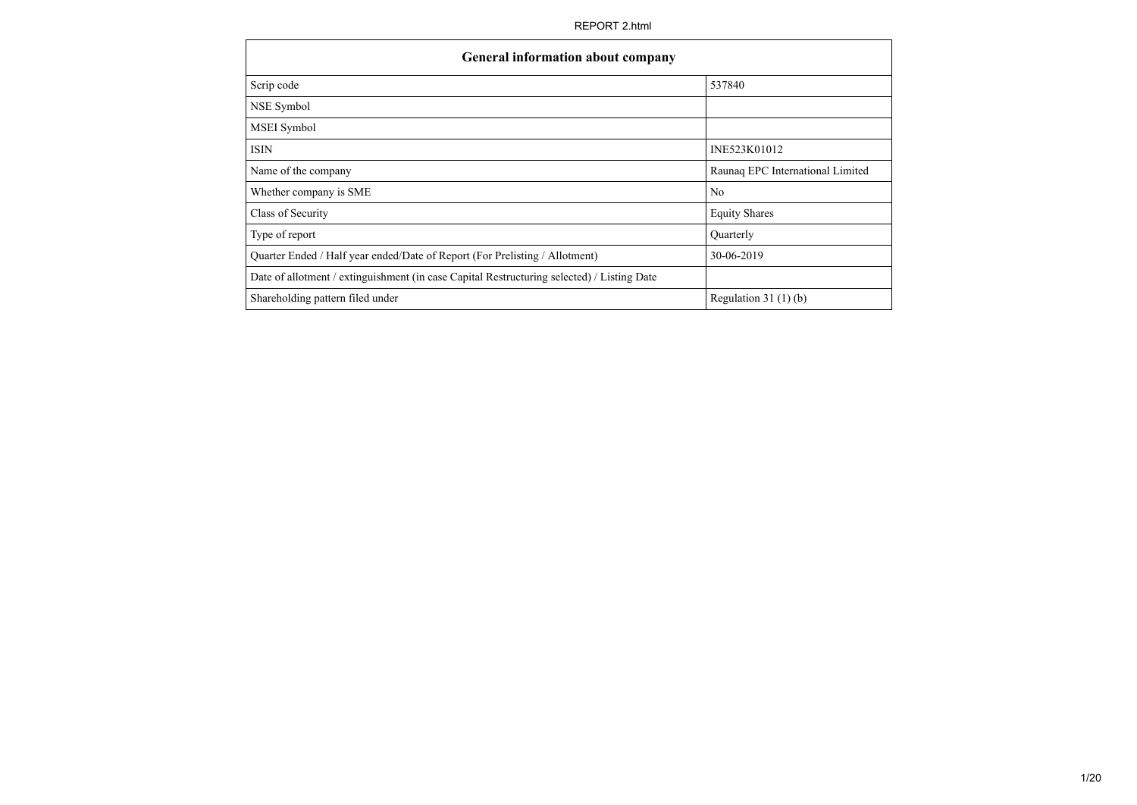| Scrip code                                                                                 | 537840                           |
|--------------------------------------------------------------------------------------------|----------------------------------|
| NSE Symbol                                                                                 |                                  |
| MSEI Symbol                                                                                |                                  |
| <b>ISIN</b>                                                                                | INE523K01012                     |
| Name of the company                                                                        | Raunaq EPC International Limited |
| Whether company is SME                                                                     | N <sub>o</sub>                   |
| Class of Security                                                                          | <b>Equity Shares</b>             |
| Type of report                                                                             | Quarterly                        |
| Quarter Ended / Half year ended/Date of Report (For Prelisting / Allotment)                | 30-06-2019                       |
| Date of allotment / extinguishment (in case Capital Restructuring selected) / Listing Date |                                  |
| Shareholding pattern filed under                                                           | Regulation $31(1)(b)$            |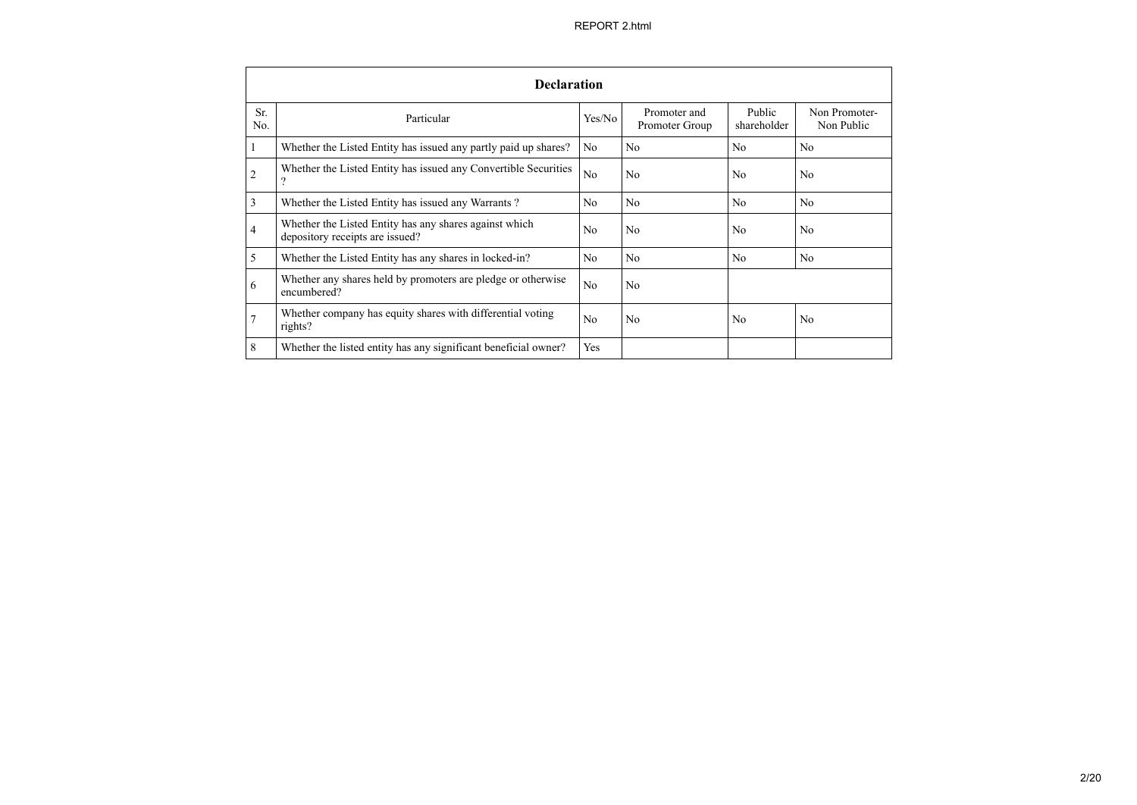|                | <b>Declaration</b>                                                                        |                |                                |                       |                             |
|----------------|-------------------------------------------------------------------------------------------|----------------|--------------------------------|-----------------------|-----------------------------|
| Sr.<br>No.     | Particular                                                                                | Yes/No         | Promoter and<br>Promoter Group | Public<br>shareholder | Non Promoter-<br>Non Public |
| 1              | Whether the Listed Entity has issued any partly paid up shares?                           | No.            | N <sub>0</sub>                 | N <sub>0</sub>        | No                          |
| $\overline{2}$ | Whether the Listed Entity has issued any Convertible Securities<br>$\gamma$               | N <sub>o</sub> | N <sub>0</sub>                 | N <sub>0</sub>        | N <sub>0</sub>              |
| 3              | Whether the Listed Entity has issued any Warrants?                                        | No             | N <sub>o</sub>                 | No                    | No                          |
| $\overline{4}$ | Whether the Listed Entity has any shares against which<br>depository receipts are issued? | N <sub>0</sub> | N <sub>0</sub>                 | N <sub>0</sub>        | N <sub>0</sub>              |
| 5              | Whether the Listed Entity has any shares in locked-in?                                    | No             | N <sub>o</sub>                 | No                    | No                          |
| 6              | Whether any shares held by promoters are pledge or otherwise<br>encumbered?               | No             | N <sub>0</sub>                 |                       |                             |
| $\tau$         | Whether company has equity shares with differential voting<br>rights?                     | N <sub>0</sub> | N <sub>0</sub>                 | N <sub>0</sub>        | N <sub>0</sub>              |
| 8              | Whether the listed entity has any significant beneficial owner?                           | Yes            |                                |                       |                             |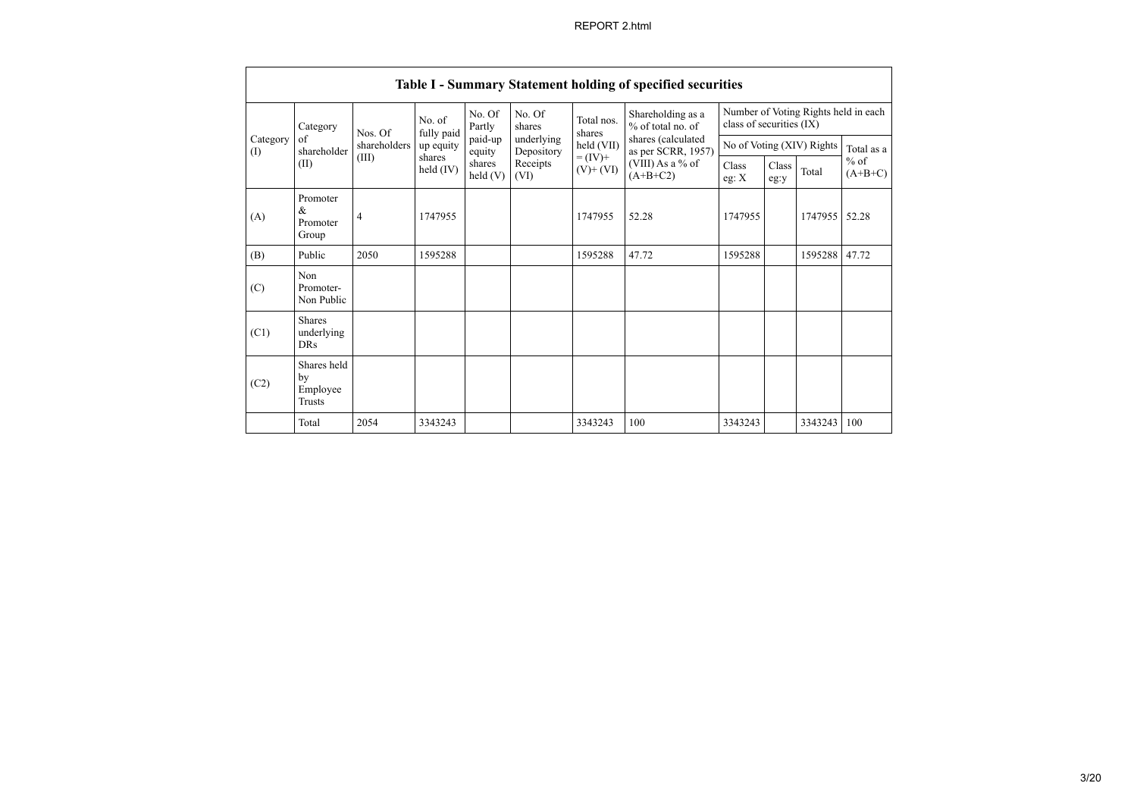|                 | Table I - Summary Statement holding of specified securities |                |                      |                   |                                        |                                          |                                        |                          |               |            |                                      |  |
|-----------------|-------------------------------------------------------------|----------------|----------------------|-------------------|----------------------------------------|------------------------------------------|----------------------------------------|--------------------------|---------------|------------|--------------------------------------|--|
|                 | Category                                                    | Nos. Of        | No. of<br>fully paid | No. Of<br>Partly  | No. Of<br>shares                       | Total nos.<br>shares                     | Shareholding as a<br>% of total no. of | class of securities (IX) |               |            | Number of Voting Rights held in each |  |
| Category<br>(I) | of<br>shareholder                                           | shareholders   | up equity            | paid-up<br>equity | underlying<br>held (VII)<br>Depository | shares (calculated<br>as per SCRR, 1957) | No of Voting (XIV) Rights              |                          |               | Total as a |                                      |  |
|                 | (II)                                                        | (III)          | shares<br>held (IV)  | shares<br>held(V) | Receipts<br>(VI)                       | $= (IV) +$<br>$(V)$ + $(VI)$             | (VIII) As a % of<br>$(A+B+C2)$         | Class<br>eg: X           | Class<br>eg:y | Total      | $%$ of<br>$(A+B+C)$                  |  |
| (A)             | Promoter<br>&<br>Promoter<br>Group                          | $\overline{4}$ | 1747955              |                   |                                        | 1747955                                  | 52.28                                  | 1747955                  |               | 1747955    | 52.28                                |  |
| (B)             | Public                                                      | 2050           | 1595288              |                   |                                        | 1595288                                  | 47.72                                  | 1595288                  |               | 1595288    | 47.72                                |  |
| (C)             | Non<br>Promoter-<br>Non Public                              |                |                      |                   |                                        |                                          |                                        |                          |               |            |                                      |  |
| (C1)            | <b>Shares</b><br>underlying<br><b>DRs</b>                   |                |                      |                   |                                        |                                          |                                        |                          |               |            |                                      |  |
| (C2)            | Shares held<br>by<br>Employee<br>Trusts                     |                |                      |                   |                                        |                                          |                                        |                          |               |            |                                      |  |
|                 | Total                                                       | 2054           | 3343243              |                   |                                        | 3343243                                  | 100                                    | 3343243                  |               | 3343243    | 100                                  |  |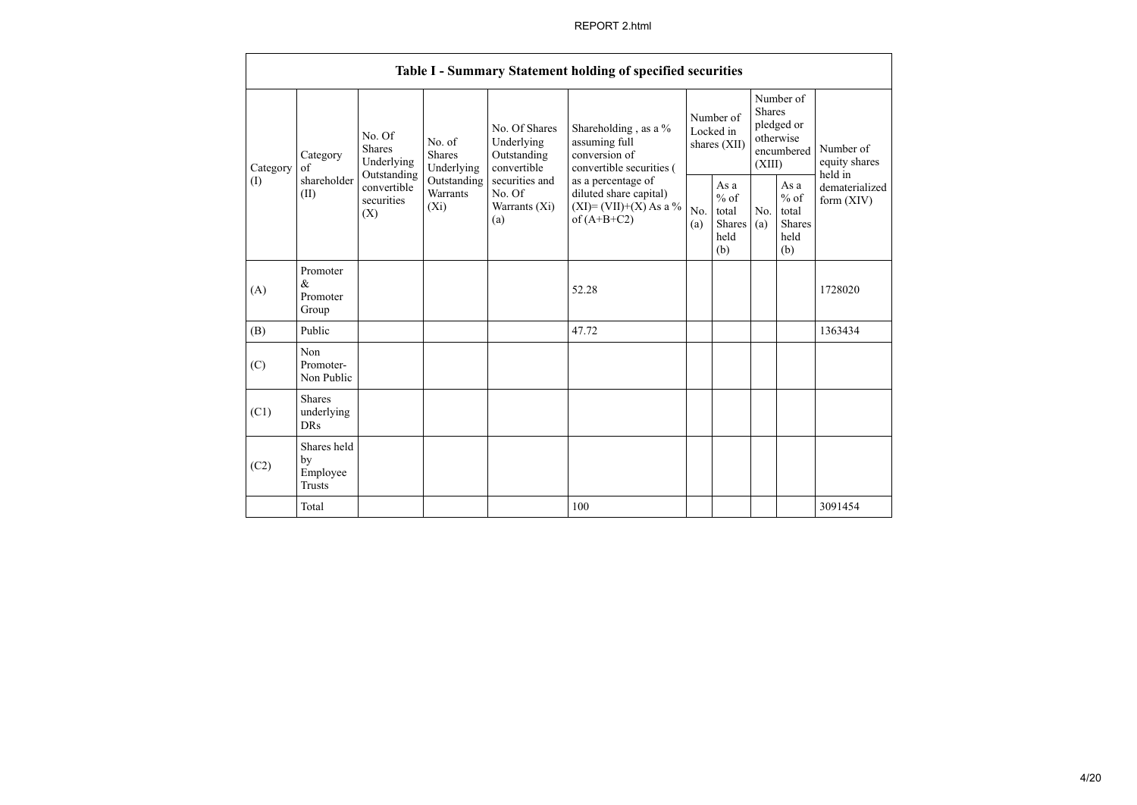|                                                   |                                                                |                                       |                                                     |                                                                                            | Table I - Summary Statement holding of specified securities                        |                                                  |            |                                                                               |                              |                                       |
|---------------------------------------------------|----------------------------------------------------------------|---------------------------------------|-----------------------------------------------------|--------------------------------------------------------------------------------------------|------------------------------------------------------------------------------------|--------------------------------------------------|------------|-------------------------------------------------------------------------------|------------------------------|---------------------------------------|
| Category<br>$\sigma$ f<br>Category<br>(I)<br>(II) |                                                                | No. Of<br><b>Shares</b><br>Underlying | No. of<br><b>Shares</b><br>Underlying               | No. Of Shares<br>Underlying<br>Outstanding<br>convertible                                  | Shareholding, as a %<br>assuming full<br>conversion of<br>convertible securities ( | Number of<br>Locked in<br>shares (XII)           |            | Number of<br><b>Shares</b><br>pledged or<br>otherwise<br>encumbered<br>(XIII) |                              | Number of<br>equity shares<br>held in |
|                                                   | Outstanding<br>shareholder<br>convertible<br>securities<br>(X) | Outstanding<br>Warrants<br>$(X_i)$    | securities and<br>No. Of<br>Warrants $(X_i)$<br>(a) | as a percentage of<br>diluted share capital)<br>$(XI) = (VII)+(X) As a %$<br>of $(A+B+C2)$ | No.<br>(a)                                                                         | As a<br>$%$ of<br>total<br>Shares<br>held<br>(b) | No.<br>(a) | As a<br>$%$ of<br>total<br><b>Shares</b><br>held<br>(b)                       | dematerialized<br>form (XIV) |                                       |
| (A)                                               | Promoter<br>$\&$<br>Promoter<br>Group                          |                                       |                                                     |                                                                                            | 52.28                                                                              |                                                  |            |                                                                               |                              | 1728020                               |
| (B)                                               | Public                                                         |                                       |                                                     |                                                                                            | 47.72                                                                              |                                                  |            |                                                                               |                              | 1363434                               |
| (C)                                               | Non<br>Promoter-<br>Non Public                                 |                                       |                                                     |                                                                                            |                                                                                    |                                                  |            |                                                                               |                              |                                       |
| (C1)                                              | <b>Shares</b><br>underlying<br><b>DRs</b>                      |                                       |                                                     |                                                                                            |                                                                                    |                                                  |            |                                                                               |                              |                                       |
| (C2)                                              | Shares held<br>by<br>Employee<br><b>Trusts</b>                 |                                       |                                                     |                                                                                            |                                                                                    |                                                  |            |                                                                               |                              |                                       |
|                                                   | Total                                                          |                                       |                                                     |                                                                                            | 100                                                                                |                                                  |            |                                                                               |                              | 3091454                               |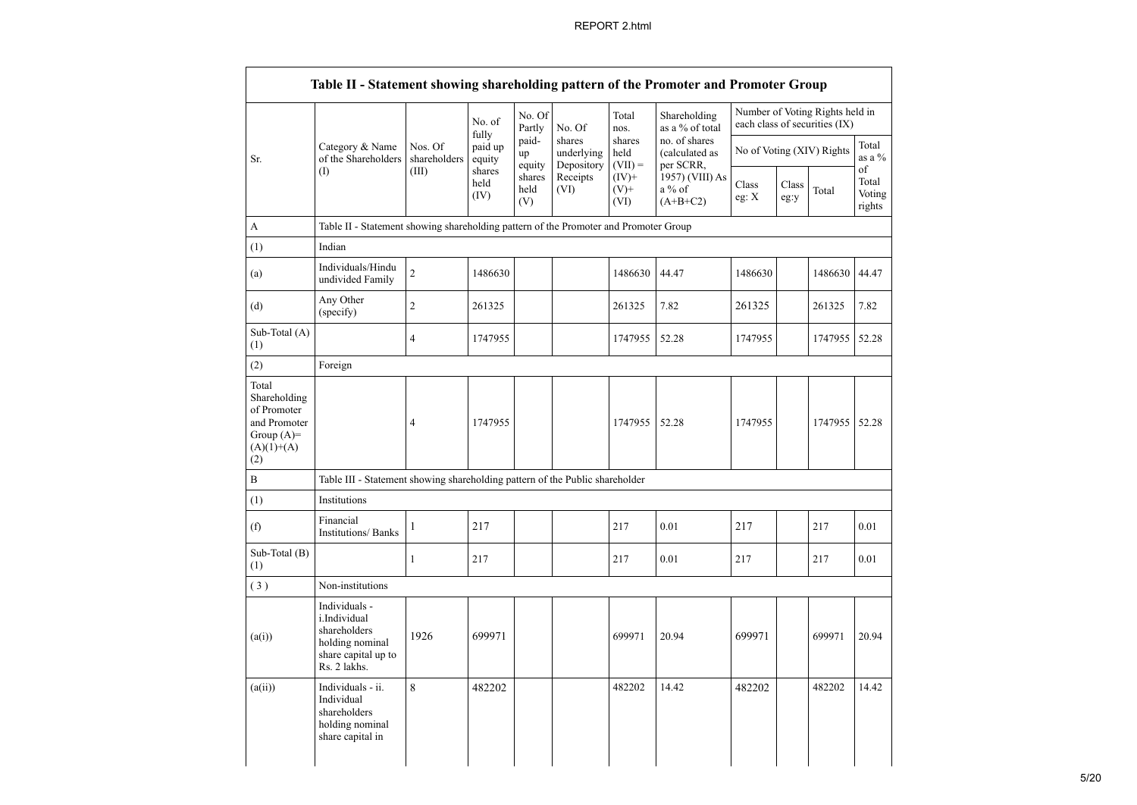|                                                                                             |                                                                                                         |                         | No. of                     | No. Of<br>Partly      | No. Of                             | Total<br>nos.               | Shareholding<br>as a % of total              |                |               | Number of Voting Rights held in<br>each class of securities (IX) |                                                    |
|---------------------------------------------------------------------------------------------|---------------------------------------------------------------------------------------------------------|-------------------------|----------------------------|-----------------------|------------------------------------|-----------------------------|----------------------------------------------|----------------|---------------|------------------------------------------------------------------|----------------------------------------------------|
| Sr.                                                                                         | Category & Name<br>of the Shareholders                                                                  | Nos. Of<br>shareholders | fully<br>paid up<br>equity | paid-<br>up<br>equity | shares<br>underlying<br>Depository | shares<br>held<br>$(VII) =$ | no. of shares<br>(calculated as<br>per SCRR, |                |               | No of Voting (XIV) Rights                                        | Total<br>as a %<br>of<br>Total<br>Voting<br>rights |
|                                                                                             | (I)                                                                                                     | (III)                   | shares<br>held<br>(IV)     | shares<br>held<br>(V) | Receipts<br>(VI)                   | $(IV)$ +<br>$(V)$ +<br>(VI) | 1957) (VIII) As<br>a % of<br>$(A+B+C2)$      | Class<br>eg: X | Class<br>eg:y | Total                                                            |                                                    |
| A                                                                                           | Table II - Statement showing shareholding pattern of the Promoter and Promoter Group                    |                         |                            |                       |                                    |                             |                                              |                |               |                                                                  |                                                    |
| (1)                                                                                         | Indian                                                                                                  |                         |                            |                       |                                    |                             |                                              |                |               |                                                                  |                                                    |
| (a)                                                                                         | Individuals/Hindu<br>undivided Family                                                                   | $\overline{2}$          | 1486630                    |                       |                                    | 1486630                     | 44.47                                        | 1486630        |               | 1486630                                                          | 44.47                                              |
| (d)                                                                                         | Any Other<br>(specify)                                                                                  | $\overline{c}$          | 261325                     |                       |                                    | 261325                      | 7.82                                         | 261325         |               | 261325                                                           | 7.82                                               |
| Sub-Total (A)<br>(1)                                                                        |                                                                                                         | $\overline{4}$          | 1747955                    |                       |                                    | 1747955                     | 52.28                                        | 1747955        |               | 1747955                                                          | 52.28                                              |
| (2)                                                                                         | Foreign                                                                                                 |                         |                            |                       |                                    |                             |                                              |                |               |                                                                  |                                                    |
| Total<br>Shareholding<br>of Promoter<br>and Promoter<br>Group $(A)=$<br>$(A)(1)+(A)$<br>(2) |                                                                                                         | 4                       | 1747955                    |                       |                                    | 1747955                     | 52.28                                        | 1747955        |               | 1747955                                                          | 52.28                                              |
| $\mathbf B$                                                                                 | Table III - Statement showing shareholding pattern of the Public shareholder                            |                         |                            |                       |                                    |                             |                                              |                |               |                                                                  |                                                    |
| (1)                                                                                         | Institutions                                                                                            |                         |                            |                       |                                    |                             |                                              |                |               |                                                                  |                                                    |
| (f)                                                                                         | Financial<br><b>Institutions/Banks</b>                                                                  | $\mathbf{1}$            | 217                        |                       |                                    | 217                         | 0.01                                         | 217            |               | 217                                                              | 0.01                                               |
| Sub-Total (B)<br>(1)                                                                        |                                                                                                         | $\mathbf{1}$            | 217                        |                       |                                    | 217                         | 0.01                                         | 217            |               | 217                                                              | 0.01                                               |
| (3)                                                                                         | Non-institutions                                                                                        |                         |                            |                       |                                    |                             |                                              |                |               |                                                                  |                                                    |
| (a(i))                                                                                      | Individuals -<br>i.Individual<br>shareholders<br>holding nominal<br>share capital up to<br>Rs. 2 lakhs. | 1926                    | 699971                     |                       |                                    | 699971                      | 20.94                                        | 699971         |               | 699971                                                           | 20.94                                              |
| (a(ii))                                                                                     | Individuals - ii.<br>Individual<br>shareholders<br>holding nominal<br>share capital in                  | 8                       | 482202                     |                       |                                    | 482202                      | 14.42                                        | 482202         |               | 482202                                                           | 14.42                                              |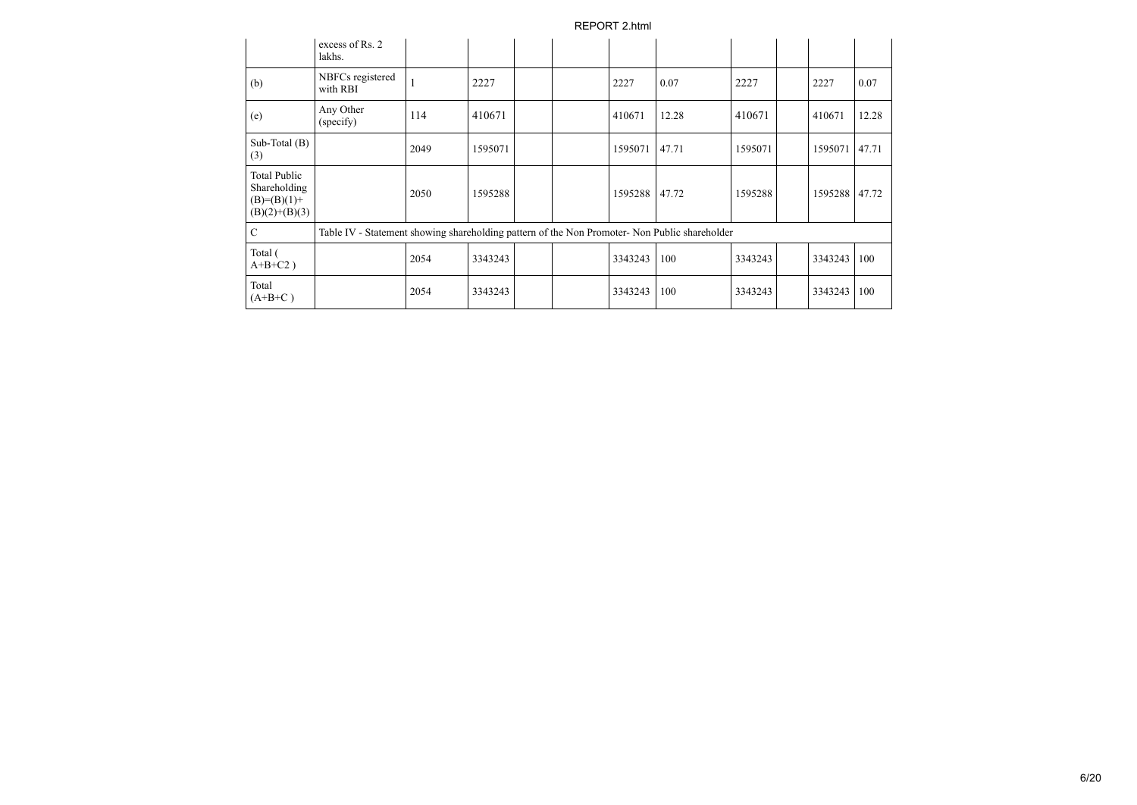|                                                                         | excess of Rs. 2<br>lakhs.                                                                     |      |         |  |         |       |         |         |       |
|-------------------------------------------------------------------------|-----------------------------------------------------------------------------------------------|------|---------|--|---------|-------|---------|---------|-------|
| (b)                                                                     | NBFCs registered<br>with RBI                                                                  |      | 2227    |  | 2227    | 0.07  | 2227    | 2227    | 0.07  |
| (e)                                                                     | Any Other<br>(specify)                                                                        | 114  | 410671  |  | 410671  | 12.28 | 410671  | 410671  | 12.28 |
| Sub-Total $(B)$<br>(3)                                                  |                                                                                               | 2049 | 1595071 |  | 1595071 | 47.71 | 1595071 | 1595071 | 47.71 |
| <b>Total Public</b><br>Shareholding<br>$(B)=(B)(1)+$<br>$(B)(2)+(B)(3)$ |                                                                                               | 2050 | 1595288 |  | 1595288 | 47.72 | 1595288 | 1595288 | 47.72 |
| $\mathcal{C}$                                                           | Table IV - Statement showing shareholding pattern of the Non Promoter- Non Public shareholder |      |         |  |         |       |         |         |       |
| Total (<br>$A+B+C2$ )                                                   |                                                                                               | 2054 | 3343243 |  | 3343243 | 100   | 3343243 | 3343243 | 100   |
| Total<br>$(A+B+C)$                                                      |                                                                                               | 2054 | 3343243 |  | 3343243 | 100   | 3343243 | 3343243 | 100   |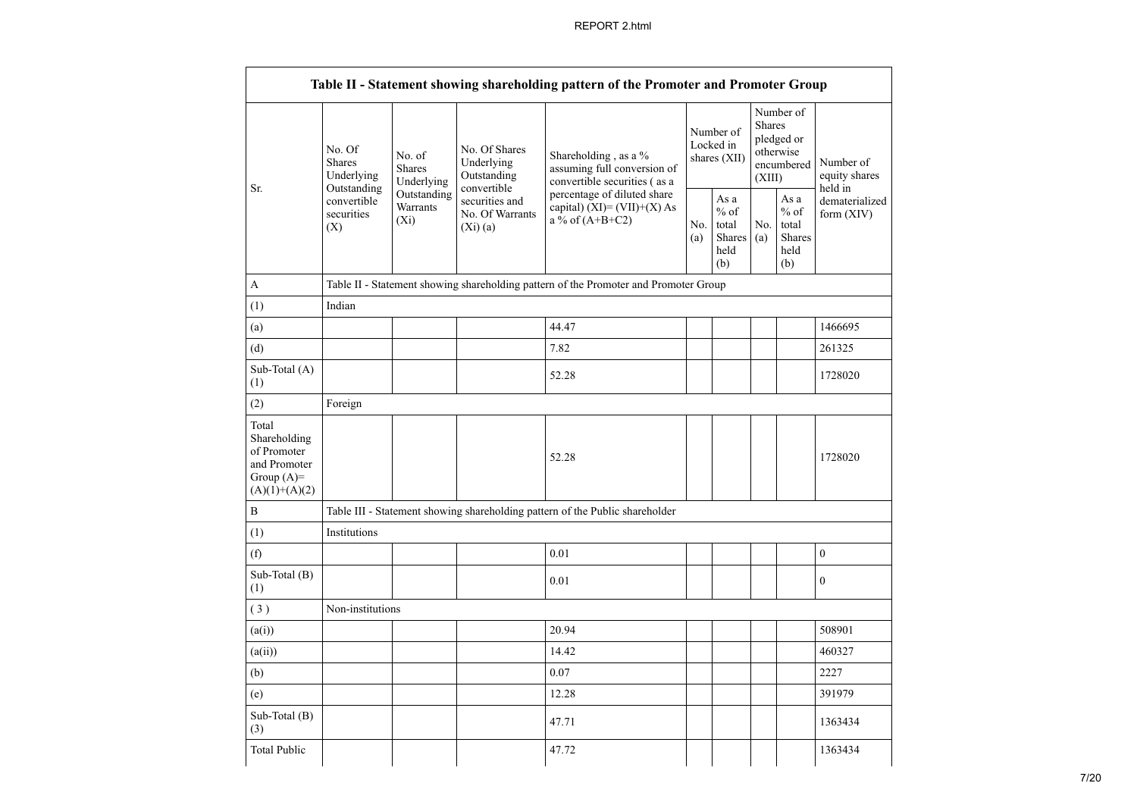|                                                                                         |                                                                                       |                                                 |                                                                                    | Table II - Statement showing shareholding pattern of the Promoter and Promoter Group |                                                         |                                                                                |                                                                     |                                       |                                       |
|-----------------------------------------------------------------------------------------|---------------------------------------------------------------------------------------|-------------------------------------------------|------------------------------------------------------------------------------------|--------------------------------------------------------------------------------------|---------------------------------------------------------|--------------------------------------------------------------------------------|---------------------------------------------------------------------|---------------------------------------|---------------------------------------|
| Sr.                                                                                     | No. Of<br><b>Shares</b><br>Underlying                                                 | No. of<br><b>Shares</b><br>Underlying           | No. Of Shares<br>Underlying<br>Outstanding<br>convertible                          | Shareholding, as a %<br>assuming full conversion of<br>convertible securities (as a  |                                                         | <b>Shares</b><br>Number of<br>Locked in<br>otherwise<br>shares (XII)<br>(XIII) |                                                                     | Number of<br>pledged or<br>encumbered | Number of<br>equity shares<br>held in |
|                                                                                         | Outstanding<br>Outstanding<br>convertible<br>Warrants<br>securities<br>$(X_i)$<br>(X) | securities and<br>No. Of Warrants<br>$(X_i)(a)$ | percentage of diluted share<br>capital) $(XI) = (VII)+(X) As$<br>a % of $(A+B+C2)$ |                                                                                      | As a<br>$%$ of<br>total<br><b>Shares</b><br>held<br>(b) | No.<br>(a)                                                                     | As $\mathbf{a}$<br>$\%$ of<br>total<br><b>Shares</b><br>held<br>(b) | dematerialized<br>form (XIV)          |                                       |
| A                                                                                       |                                                                                       |                                                 |                                                                                    | Table II - Statement showing shareholding pattern of the Promoter and Promoter Group |                                                         |                                                                                |                                                                     |                                       |                                       |
| (1)                                                                                     | Indian                                                                                |                                                 |                                                                                    |                                                                                      |                                                         |                                                                                |                                                                     |                                       |                                       |
| (a)                                                                                     |                                                                                       |                                                 |                                                                                    | 44.47                                                                                |                                                         |                                                                                |                                                                     |                                       | 1466695                               |
| (d)                                                                                     |                                                                                       |                                                 |                                                                                    | 7.82                                                                                 |                                                         |                                                                                |                                                                     |                                       | 261325                                |
| Sub-Total (A)<br>(1)                                                                    |                                                                                       |                                                 |                                                                                    | 52.28                                                                                |                                                         |                                                                                |                                                                     |                                       | 1728020                               |
| (2)                                                                                     | Foreign                                                                               |                                                 |                                                                                    |                                                                                      |                                                         |                                                                                |                                                                     |                                       |                                       |
| Total<br>Shareholding<br>of Promoter<br>and Promoter<br>Group $(A)=$<br>$(A)(1)+(A)(2)$ |                                                                                       |                                                 |                                                                                    | 52.28                                                                                |                                                         |                                                                                |                                                                     |                                       | 1728020                               |
| B                                                                                       |                                                                                       |                                                 |                                                                                    | Table III - Statement showing shareholding pattern of the Public shareholder         |                                                         |                                                                                |                                                                     |                                       |                                       |
| (1)                                                                                     | Institutions                                                                          |                                                 |                                                                                    |                                                                                      |                                                         |                                                                                |                                                                     |                                       |                                       |
| (f)                                                                                     |                                                                                       |                                                 |                                                                                    | 0.01                                                                                 |                                                         |                                                                                |                                                                     |                                       | $\boldsymbol{0}$                      |
| Sub-Total (B)<br>(1)                                                                    |                                                                                       |                                                 |                                                                                    | 0.01                                                                                 |                                                         |                                                                                |                                                                     |                                       | $\mathbf{0}$                          |
| (3)                                                                                     | Non-institutions                                                                      |                                                 |                                                                                    |                                                                                      |                                                         |                                                                                |                                                                     |                                       |                                       |
| (a(i))                                                                                  |                                                                                       |                                                 |                                                                                    | 20.94                                                                                |                                                         |                                                                                |                                                                     |                                       | 508901                                |
| (a(ii))                                                                                 |                                                                                       |                                                 |                                                                                    | 14.42                                                                                |                                                         |                                                                                |                                                                     |                                       | 460327                                |
| (b)                                                                                     |                                                                                       |                                                 |                                                                                    | 0.07                                                                                 |                                                         |                                                                                |                                                                     |                                       | 2227                                  |
| (e)                                                                                     |                                                                                       |                                                 |                                                                                    | 12.28                                                                                |                                                         |                                                                                |                                                                     |                                       | 391979                                |
| Sub-Total (B)<br>(3)                                                                    |                                                                                       |                                                 |                                                                                    | 47.71                                                                                |                                                         |                                                                                |                                                                     |                                       | 1363434                               |
| <b>Total Public</b>                                                                     |                                                                                       |                                                 |                                                                                    | 47.72                                                                                |                                                         |                                                                                |                                                                     |                                       | 1363434                               |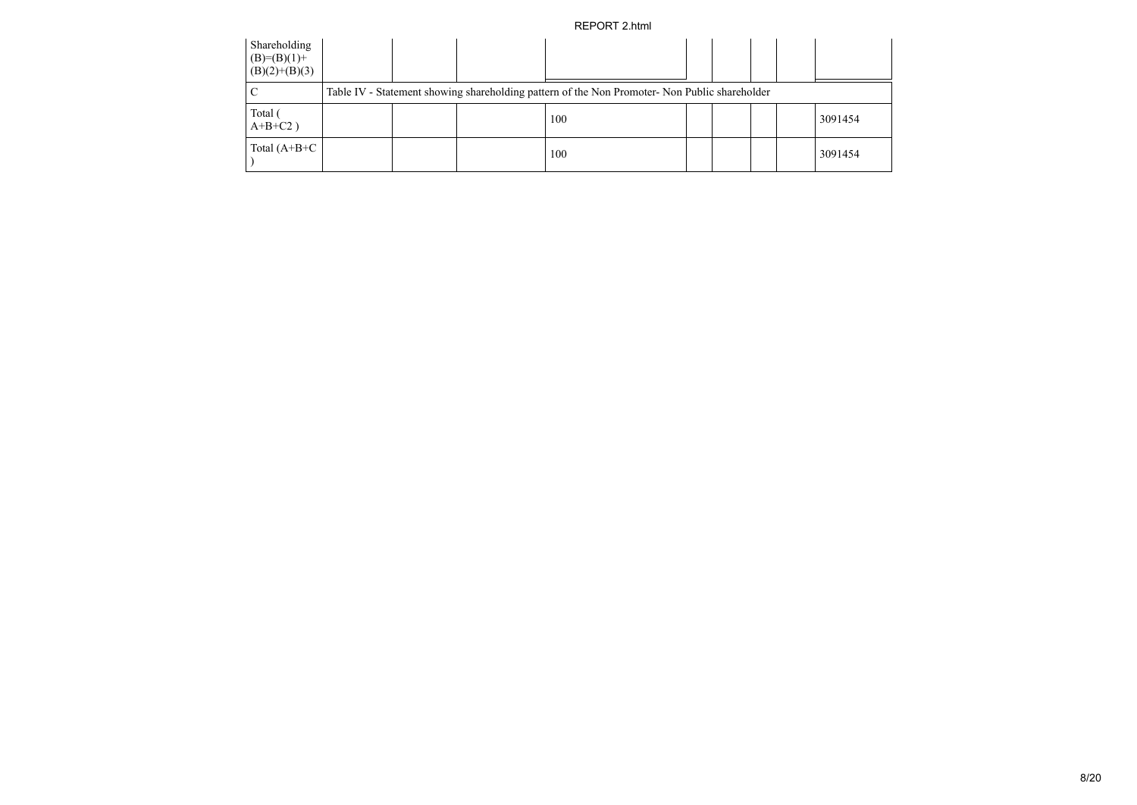| Shareholding<br>$(B)=(B)(1)+$<br>$(B)(2)+(B)(3)$ |  |                                                                                               |  |  |         |
|--------------------------------------------------|--|-----------------------------------------------------------------------------------------------|--|--|---------|
|                                                  |  | Table IV - Statement showing shareholding pattern of the Non Promoter- Non Public shareholder |  |  |         |
| Total (<br>$A+B+C2$ )                            |  | 100                                                                                           |  |  | 3091454 |
| Total $(A+B+C)$                                  |  | 100                                                                                           |  |  | 3091454 |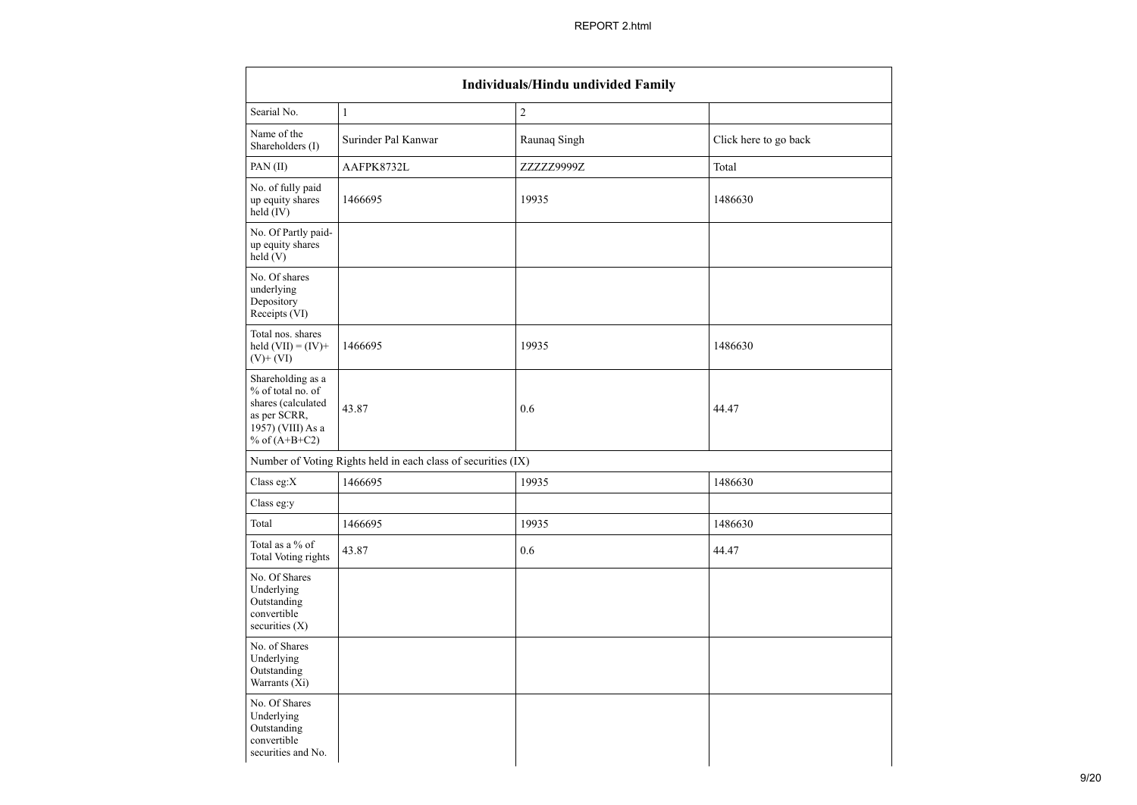| <b>Individuals/Hindu undivided Family</b>                                                                            |                                                               |                |                       |  |  |  |  |
|----------------------------------------------------------------------------------------------------------------------|---------------------------------------------------------------|----------------|-----------------------|--|--|--|--|
| Searial No.                                                                                                          | $\mathbf{1}$                                                  | $\overline{2}$ |                       |  |  |  |  |
| Name of the<br>Shareholders (I)                                                                                      | Surinder Pal Kanwar                                           | Raunaq Singh   | Click here to go back |  |  |  |  |
| PAN (II)                                                                                                             | AAFPK8732L                                                    | ZZZZZ9999Z     | Total                 |  |  |  |  |
| No. of fully paid<br>up equity shares<br>held (IV)                                                                   | 1466695                                                       | 19935          | 1486630               |  |  |  |  |
| No. Of Partly paid-<br>up equity shares<br>$\text{held}(V)$                                                          |                                                               |                |                       |  |  |  |  |
| No. Of shares<br>underlying<br>Depository<br>Receipts (VI)                                                           |                                                               |                |                       |  |  |  |  |
| Total nos. shares<br>held $(VII) = (IV) +$<br>$(V)$ + $(VI)$                                                         | 1466695                                                       | 19935          | 1486630               |  |  |  |  |
| Shareholding as a<br>% of total no. of<br>shares (calculated<br>as per SCRR,<br>1957) (VIII) As a<br>% of $(A+B+C2)$ | 43.87                                                         | 0.6            | 44.47                 |  |  |  |  |
|                                                                                                                      | Number of Voting Rights held in each class of securities (IX) |                |                       |  |  |  |  |
| Class eg: $X$                                                                                                        | 1466695                                                       | 19935          | 1486630               |  |  |  |  |
| Class eg:y                                                                                                           |                                                               |                |                       |  |  |  |  |
| Total                                                                                                                | 1466695                                                       | 19935          | 1486630               |  |  |  |  |
| Total as a % of<br><b>Total Voting rights</b>                                                                        | 43.87                                                         | 0.6            | 44.47                 |  |  |  |  |
| No. Of Shares<br>Underlying<br>Outstanding<br>convertible<br>securities $(X)$                                        |                                                               |                |                       |  |  |  |  |
| No. of Shares<br>Underlying<br>Outstanding<br>Warrants (Xi)                                                          |                                                               |                |                       |  |  |  |  |
| No. Of Shares<br>Underlying<br>Outstanding<br>convertible<br>securities and No.                                      |                                                               |                |                       |  |  |  |  |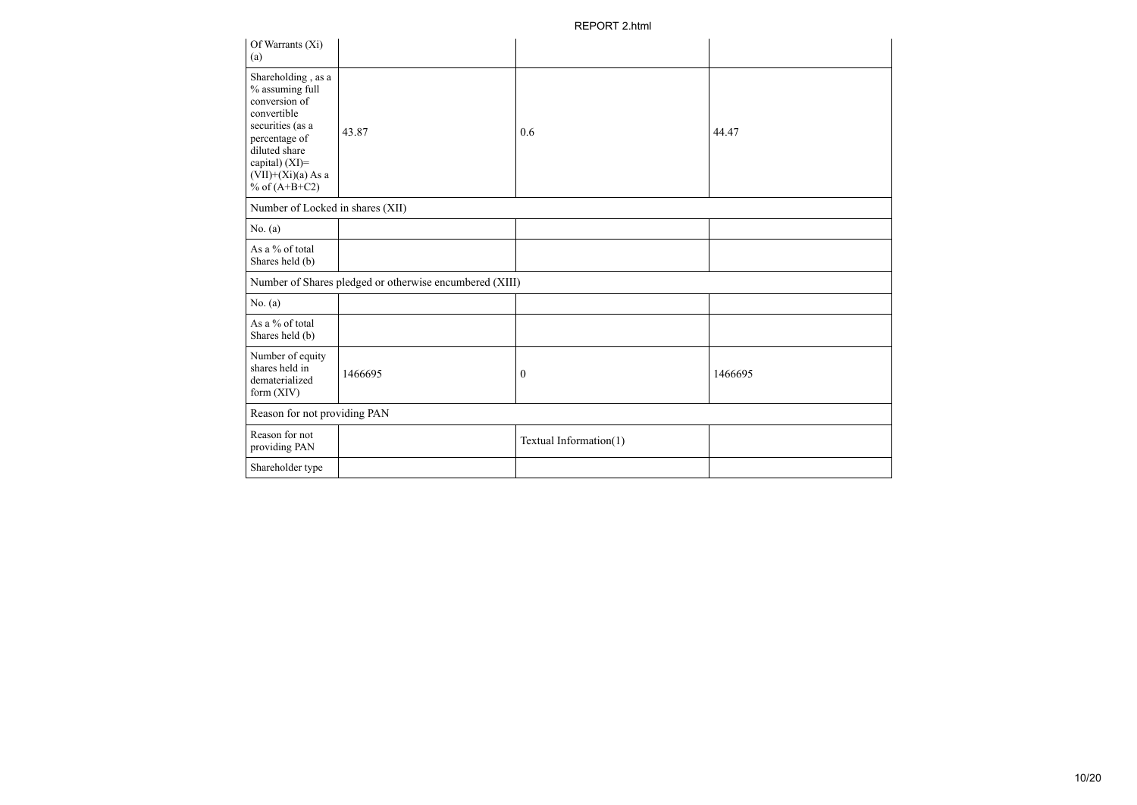| Of Warrants (Xi)<br>(a)                                                                                                                                                                  |                                                         |                        |         |
|------------------------------------------------------------------------------------------------------------------------------------------------------------------------------------------|---------------------------------------------------------|------------------------|---------|
| Shareholding, as a<br>% assuming full<br>conversion of<br>convertible<br>securities (as a<br>percentage of<br>diluted share<br>capital) (XI)=<br>$(VII)+(Xi)(a) As a$<br>% of $(A+B+C2)$ | 43.87                                                   | 0.6                    | 44.47   |
| Number of Locked in shares (XII)                                                                                                                                                         |                                                         |                        |         |
| No. (a)                                                                                                                                                                                  |                                                         |                        |         |
| As a % of total<br>Shares held (b)                                                                                                                                                       |                                                         |                        |         |
|                                                                                                                                                                                          | Number of Shares pledged or otherwise encumbered (XIII) |                        |         |
| No. $(a)$                                                                                                                                                                                |                                                         |                        |         |
| As a % of total<br>Shares held (b)                                                                                                                                                       |                                                         |                        |         |
| Number of equity<br>shares held in<br>dematerialized<br>form $(XIV)$                                                                                                                     | 1466695                                                 | $\boldsymbol{0}$       | 1466695 |
| Reason for not providing PAN                                                                                                                                                             |                                                         |                        |         |
| Reason for not<br>providing PAN                                                                                                                                                          |                                                         | Textual Information(1) |         |
| Shareholder type                                                                                                                                                                         |                                                         |                        |         |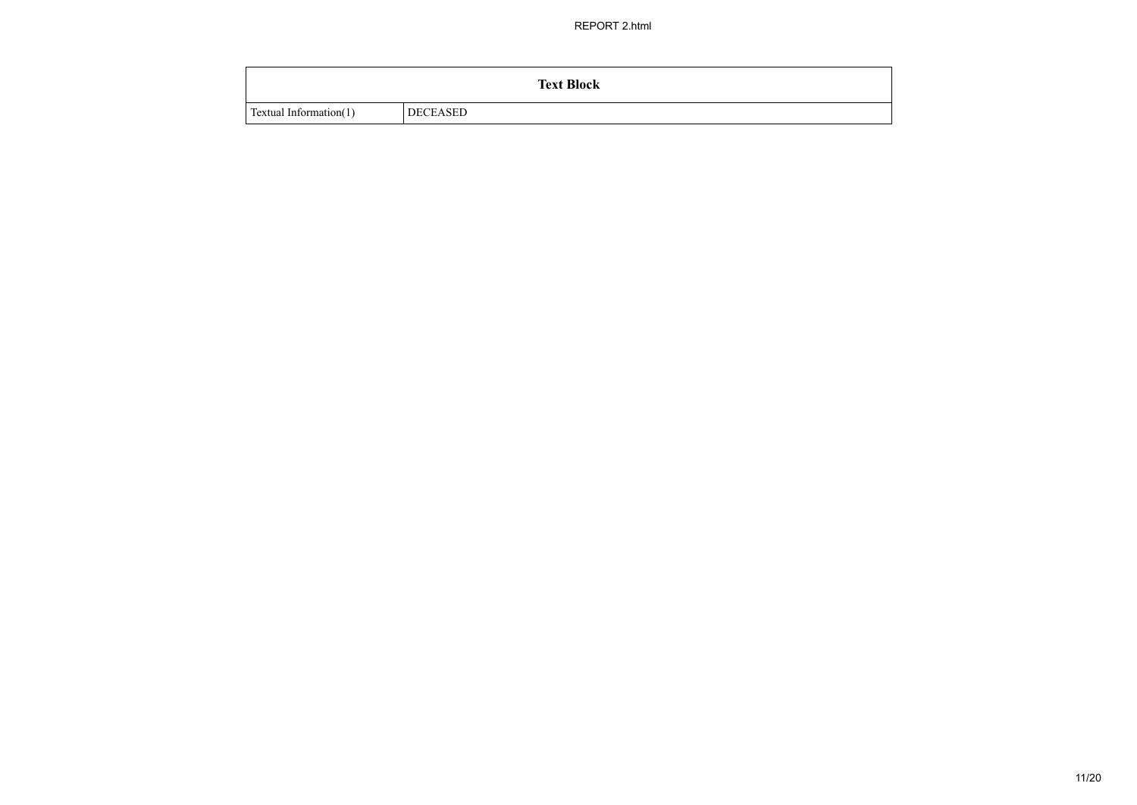|                        | <b>Text Block</b> |
|------------------------|-------------------|
| Textual Information(1) | <b>DECEASED</b>   |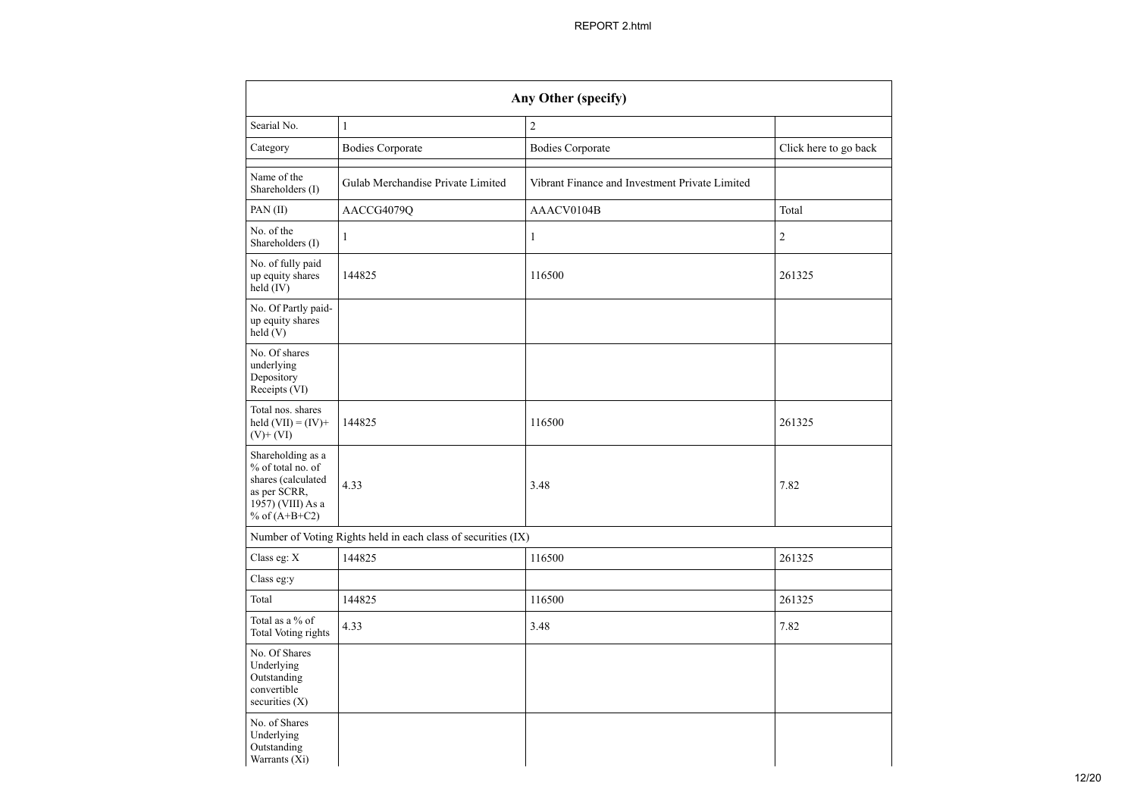|                                                                                                                        |                                                               | Any Other (specify)                            |                       |
|------------------------------------------------------------------------------------------------------------------------|---------------------------------------------------------------|------------------------------------------------|-----------------------|
| Searial No.                                                                                                            | $\mathbf{1}$                                                  | $\overline{c}$                                 |                       |
| Category                                                                                                               | <b>Bodies Corporate</b>                                       | <b>Bodies Corporate</b>                        | Click here to go back |
| Name of the<br>Shareholders (I)                                                                                        | Gulab Merchandise Private Limited                             | Vibrant Finance and Investment Private Limited |                       |
| PAN (II)                                                                                                               | AACCG4079Q                                                    | AAACV0104B                                     | Total                 |
| No. of the<br>Shareholders (I)                                                                                         | $\mathbf{1}$                                                  | $\mathbf{1}$                                   | $\overline{c}$        |
| No. of fully paid<br>up equity shares<br>held (IV)                                                                     | 144825                                                        | 116500                                         | 261325                |
| No. Of Partly paid-<br>up equity shares<br>$\text{held} (V)$                                                           |                                                               |                                                |                       |
| No. Of shares<br>underlying<br>Depository<br>Receipts (VI)                                                             |                                                               |                                                |                       |
| Total nos. shares<br>held $(VII) = (IV) +$<br>$(V)$ + $(VI)$                                                           | 144825                                                        | 116500                                         | 261325                |
| Shareholding as a<br>% of total no. of<br>shares (calculated<br>as per SCRR,<br>$1957)$ (VIII) As a<br>% of $(A+B+C2)$ | 4.33                                                          | 3.48                                           | 7.82                  |
|                                                                                                                        | Number of Voting Rights held in each class of securities (IX) |                                                |                       |
| Class eg: $\mathbf X$                                                                                                  | 144825                                                        | 116500                                         | 261325                |
| Class eg:y                                                                                                             |                                                               |                                                |                       |
| Total                                                                                                                  | 144825                                                        | 116500                                         | 261325                |
| Total as a % of<br>Total Voting rights                                                                                 | 4.33                                                          | 3.48                                           | 7.82                  |
| No. Of Shares<br>Underlying<br>Outstanding<br>convertible<br>securities (X)                                            |                                                               |                                                |                       |
| No. of Shares<br>Underlying<br>Outstanding<br>Warrants (Xi)                                                            |                                                               |                                                |                       |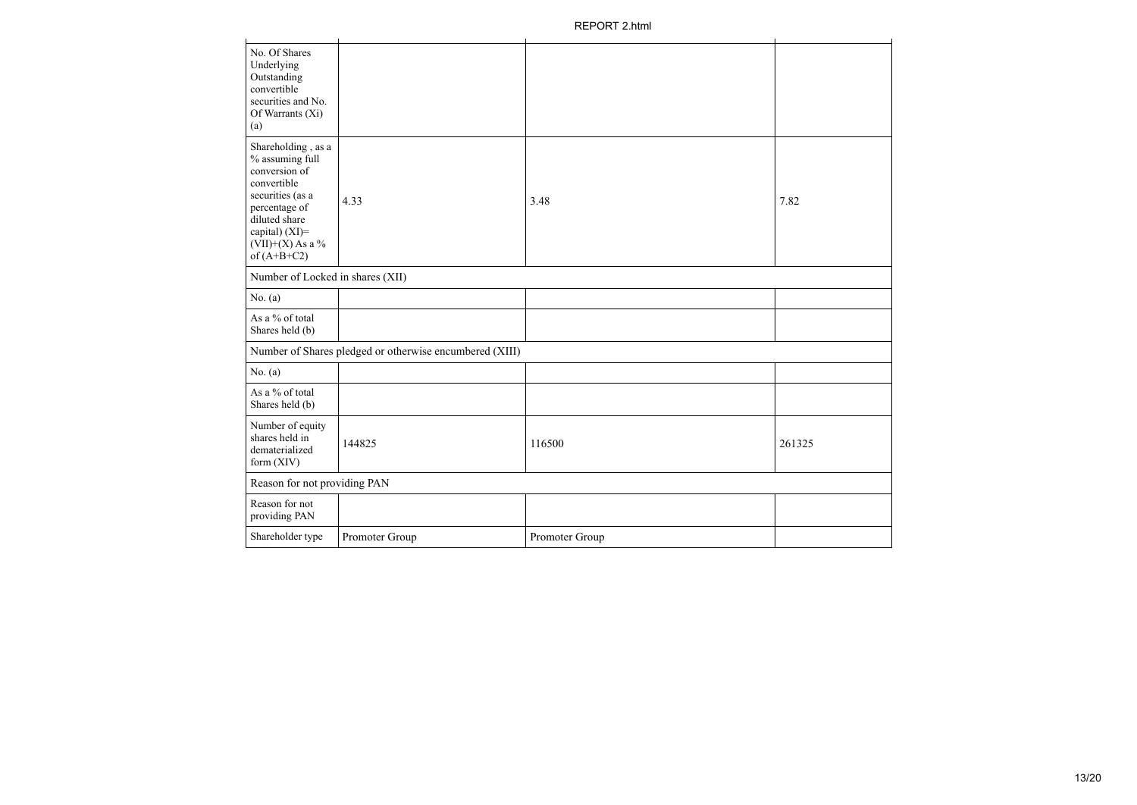| No. Of Shares<br>Underlying<br>Outstanding<br>convertible<br>securities and No.<br>Of Warrants (Xi)<br>(a)                                                                           |                                                         |                |        |  |  |  |  |  |  |
|--------------------------------------------------------------------------------------------------------------------------------------------------------------------------------------|---------------------------------------------------------|----------------|--------|--|--|--|--|--|--|
| Shareholding, as a<br>% assuming full<br>conversion of<br>convertible<br>securities (as a<br>percentage of<br>diluted share<br>capital) (XI)=<br>$(VII)+(X)$ As a %<br>of $(A+B+C2)$ | 4.33                                                    | 3.48           | 7.82   |  |  |  |  |  |  |
| Number of Locked in shares (XII)                                                                                                                                                     |                                                         |                |        |  |  |  |  |  |  |
| No. (a)                                                                                                                                                                              |                                                         |                |        |  |  |  |  |  |  |
| As a % of total<br>Shares held (b)                                                                                                                                                   |                                                         |                |        |  |  |  |  |  |  |
|                                                                                                                                                                                      | Number of Shares pledged or otherwise encumbered (XIII) |                |        |  |  |  |  |  |  |
| No. $(a)$                                                                                                                                                                            |                                                         |                |        |  |  |  |  |  |  |
| As a % of total<br>Shares held (b)                                                                                                                                                   |                                                         |                |        |  |  |  |  |  |  |
| Number of equity<br>shares held in<br>dematerialized<br>form (XIV)                                                                                                                   | 144825                                                  | 116500         | 261325 |  |  |  |  |  |  |
|                                                                                                                                                                                      | Reason for not providing PAN                            |                |        |  |  |  |  |  |  |
| Reason for not<br>providing PAN                                                                                                                                                      |                                                         |                |        |  |  |  |  |  |  |
| Shareholder type                                                                                                                                                                     | Promoter Group                                          | Promoter Group |        |  |  |  |  |  |  |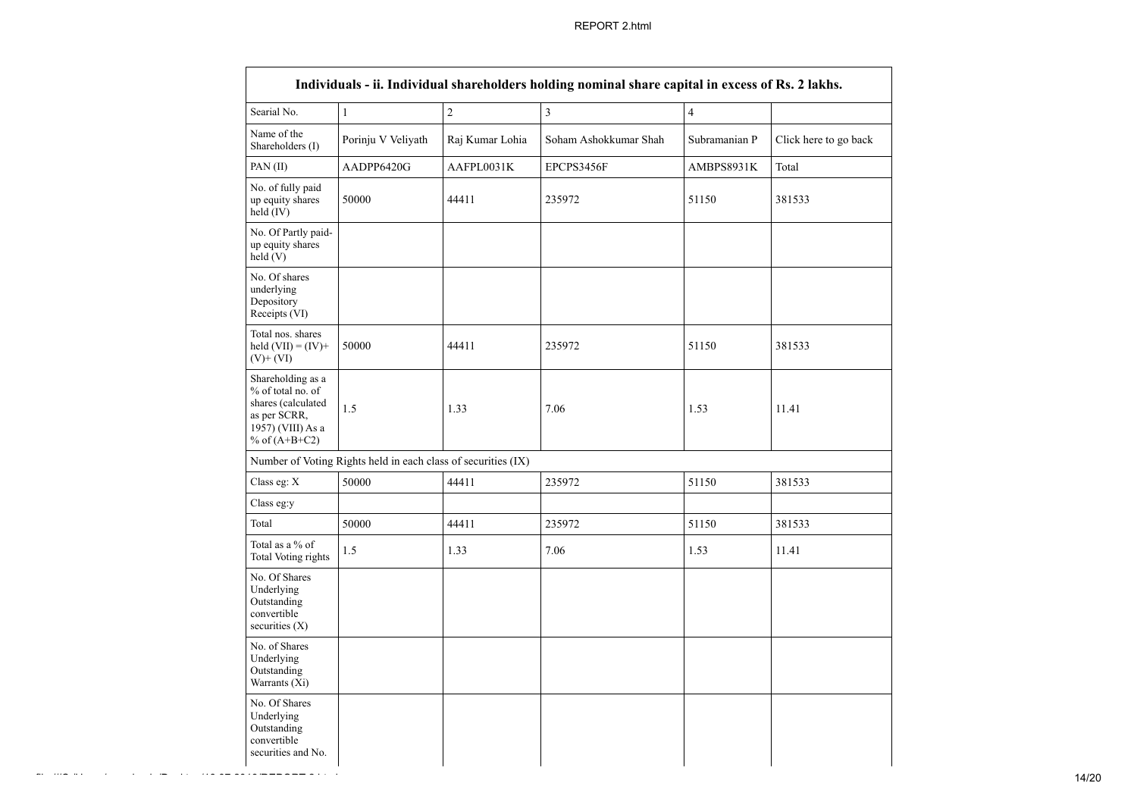| Searial No.                                                                                                          | $\mathbf{1}$                                                  | $\overline{c}$       | $\mathfrak{Z}$        | $\overline{4}$ |                                |  |  |
|----------------------------------------------------------------------------------------------------------------------|---------------------------------------------------------------|----------------------|-----------------------|----------------|--------------------------------|--|--|
| Name of the<br>Shareholders (I)                                                                                      | Porinju V Veliyath                                            | Raj Kumar Lohia      | Soham Ashokkumar Shah | Subramanian P  | Click here to go back<br>Total |  |  |
| PAN (II)                                                                                                             | AADPP6420G                                                    | AAFPL0031K           | EPCPS3456F            | AMBPS8931K     |                                |  |  |
| No. of fully paid<br>up equity shares<br>50000<br>held (IV)                                                          |                                                               | 44411                | 235972                | 51150          | 381533                         |  |  |
| No. Of Partly paid-<br>up equity shares<br>held(V)                                                                   |                                                               |                      |                       |                |                                |  |  |
| No. Of shares<br>underlying<br>Depository<br>Receipts (VI)                                                           |                                                               |                      |                       |                |                                |  |  |
| Total nos. shares<br>held $(VII) = (IV) +$<br>$(V)$ + $(VI)$                                                         | 50000                                                         | 44411                | 235972                | 51150          | 381533                         |  |  |
| Shareholding as a<br>% of total no. of<br>shares (calculated<br>as per SCRR,<br>1957) (VIII) As a<br>% of $(A+B+C2)$ | 1.5                                                           | 7.06<br>1.33<br>1.53 |                       |                | 11.41                          |  |  |
|                                                                                                                      | Number of Voting Rights held in each class of securities (IX) |                      |                       |                |                                |  |  |
| Class eg: X                                                                                                          | 50000                                                         | 44411                | 235972                | 51150          | 381533                         |  |  |
| Class eg:y                                                                                                           |                                                               |                      |                       |                |                                |  |  |
| Total                                                                                                                | 50000                                                         | 44411                | 235972                | 51150          | 381533                         |  |  |
| Total as a % of<br>Total Voting rights                                                                               | 1.5                                                           | 1.33                 | 7.06                  | 1.53           | 11.41                          |  |  |
| No. Of Shares<br>Underlying<br>Outstanding<br>convertible<br>securities $(X)$                                        |                                                               |                      |                       |                |                                |  |  |
| No. of Shares<br>Underlying<br>Outstanding<br>Warrants (Xi)                                                          |                                                               |                      |                       |                |                                |  |  |
| No. Of Shares<br>Underlying<br>Outstanding<br>convertible<br>securities and No.                                      |                                                               |                      |                       |                |                                |  |  |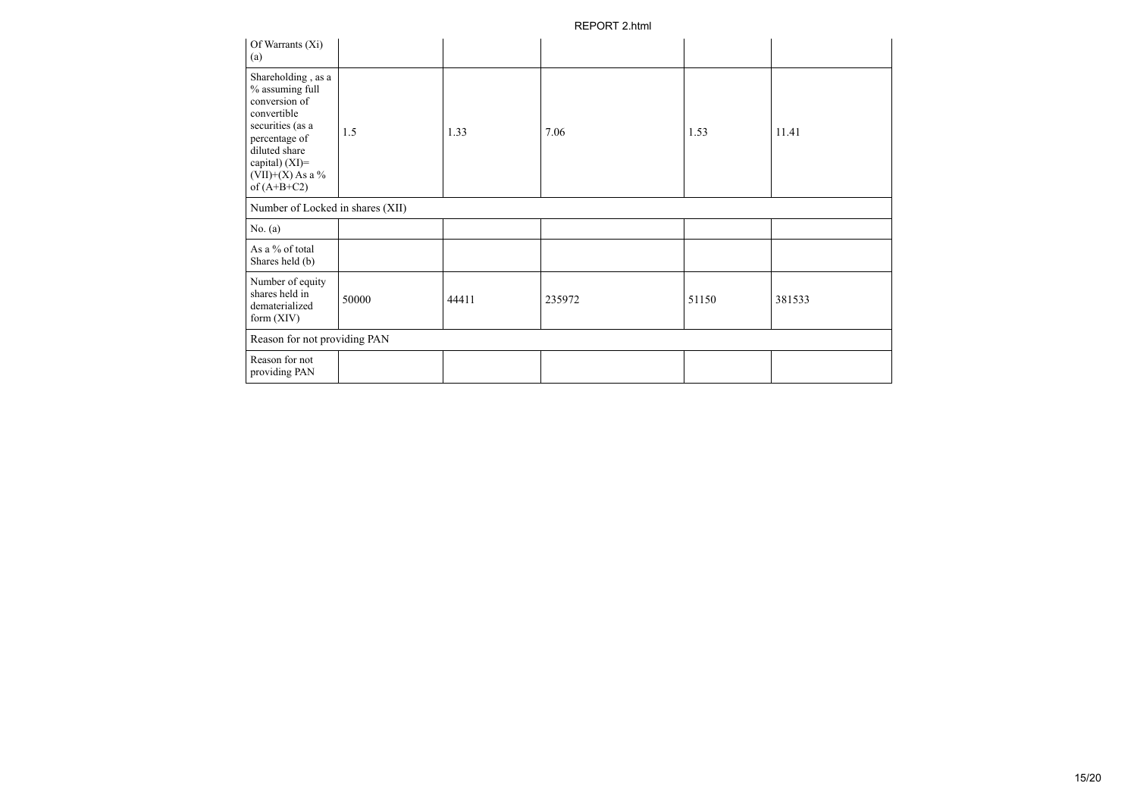| Of Warrants (Xi)<br>(a)                                                                                                                                                              |       |       |        |       |        |
|--------------------------------------------------------------------------------------------------------------------------------------------------------------------------------------|-------|-------|--------|-------|--------|
| Shareholding, as a<br>% assuming full<br>conversion of<br>convertible<br>securities (as a<br>percentage of<br>diluted share<br>capital) (XI)=<br>$(VII)+(X)$ As a %<br>of $(A+B+C2)$ | 1.5   | 1.33  | 7.06   | 1.53  | 11.41  |
| Number of Locked in shares (XII)                                                                                                                                                     |       |       |        |       |        |
| No. $(a)$                                                                                                                                                                            |       |       |        |       |        |
| As a % of total<br>Shares held (b)                                                                                                                                                   |       |       |        |       |        |
| Number of equity<br>shares held in<br>dematerialized<br>form $(XIV)$                                                                                                                 | 50000 | 44411 | 235972 | 51150 | 381533 |
| Reason for not providing PAN                                                                                                                                                         |       |       |        |       |        |
| Reason for not<br>providing PAN                                                                                                                                                      |       |       |        |       |        |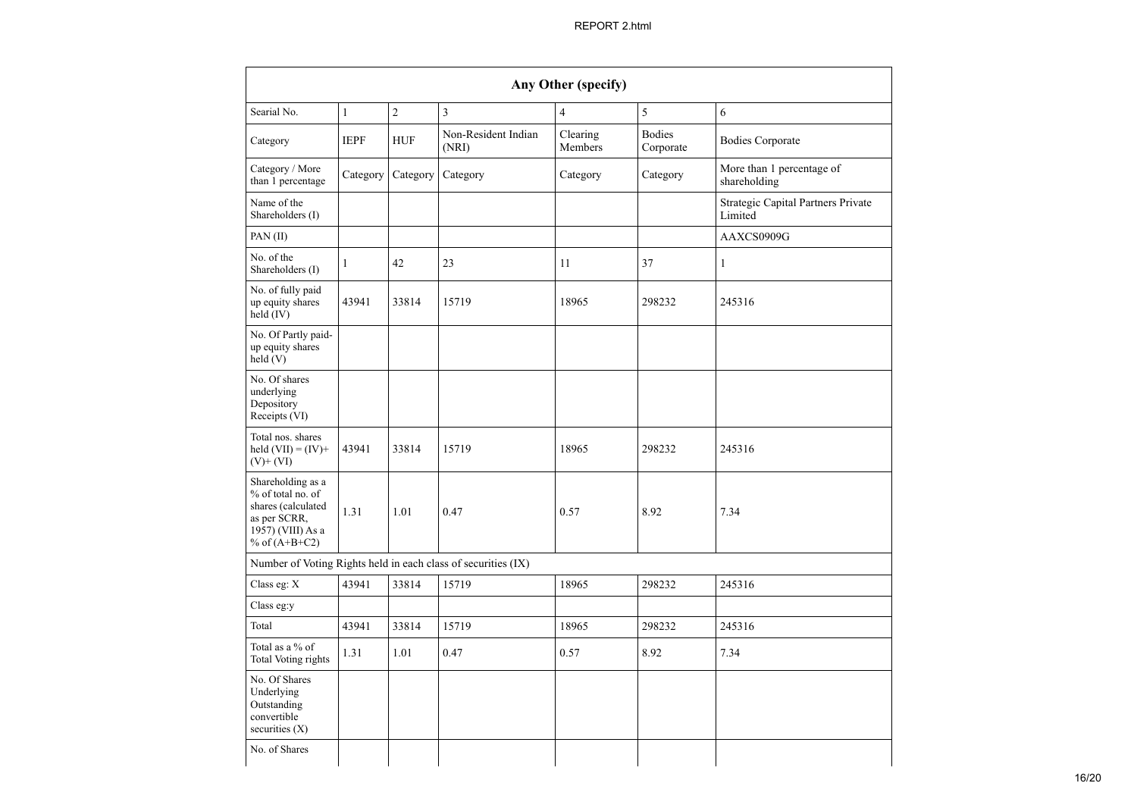| Any Other (specify)                                                                                                          |              |                |                                                               |                     |                            |                                               |  |  |  |  |
|------------------------------------------------------------------------------------------------------------------------------|--------------|----------------|---------------------------------------------------------------|---------------------|----------------------------|-----------------------------------------------|--|--|--|--|
| Searial No.                                                                                                                  | $\mathbf{1}$ | $\overline{c}$ | 3                                                             | $\overline{4}$      | 5                          | 6                                             |  |  |  |  |
| Category                                                                                                                     | <b>IEPF</b>  | <b>HUF</b>     | Non-Resident Indian<br>(NRI)                                  | Clearing<br>Members | <b>Bodies</b><br>Corporate | <b>Bodies Corporate</b>                       |  |  |  |  |
| Category / More<br>than 1 percentage                                                                                         | Category     | Category       | Category                                                      | Category            | Category                   | More than 1 percentage of<br>shareholding     |  |  |  |  |
| Name of the<br>Shareholders (I)                                                                                              |              |                |                                                               |                     |                            | Strategic Capital Partners Private<br>Limited |  |  |  |  |
| PAN $(II)$                                                                                                                   |              |                |                                                               |                     |                            | AAXCS0909G                                    |  |  |  |  |
| No. of the<br>Shareholders (I)                                                                                               | $\mathbf{1}$ | 42             | 23                                                            | 11                  | 37                         | 1                                             |  |  |  |  |
| No. of fully paid<br>up equity shares<br>held (IV)                                                                           | 43941        | 33814          | 15719                                                         | 18965               | 298232                     | 245316                                        |  |  |  |  |
| No. Of Partly paid-<br>up equity shares<br>held(V)                                                                           |              |                |                                                               |                     |                            |                                               |  |  |  |  |
| No. Of shares<br>underlying<br>Depository<br>Receipts (VI)                                                                   |              |                |                                                               |                     |                            |                                               |  |  |  |  |
| Total nos. shares<br>held $(VII) = (IV) +$<br>$(V)$ + $(VI)$                                                                 | 43941        | 33814          | 15719                                                         | 18965               | 298232                     | 245316                                        |  |  |  |  |
| Shareholding as a<br>% of total no. of<br>shares (calculated<br>1.31<br>as per SCRR,<br>1957) (VIII) As a<br>% of $(A+B+C2)$ |              | 1.01           | 0.47                                                          | 0.57                | 8.92                       | 7.34                                          |  |  |  |  |
|                                                                                                                              |              |                | Number of Voting Rights held in each class of securities (IX) |                     |                            |                                               |  |  |  |  |
| Class eg: X                                                                                                                  | 43941        | 33814          | 15719                                                         | 18965               | 298232                     | 245316                                        |  |  |  |  |
| Class eg:y                                                                                                                   |              |                |                                                               |                     |                            |                                               |  |  |  |  |
| Total                                                                                                                        | 43941        | 33814          | 15719                                                         | 18965               | 298232                     | 245316                                        |  |  |  |  |
| Total as a % of<br>Total Voting rights                                                                                       | 1.31         | 1.01           | 0.47                                                          | 0.57                | 8.92                       | 7.34                                          |  |  |  |  |
| No. Of Shares<br>Underlying<br>Outstanding<br>convertible<br>securities $(X)$                                                |              |                |                                                               |                     |                            |                                               |  |  |  |  |
| No. of Shares                                                                                                                |              |                |                                                               |                     |                            |                                               |  |  |  |  |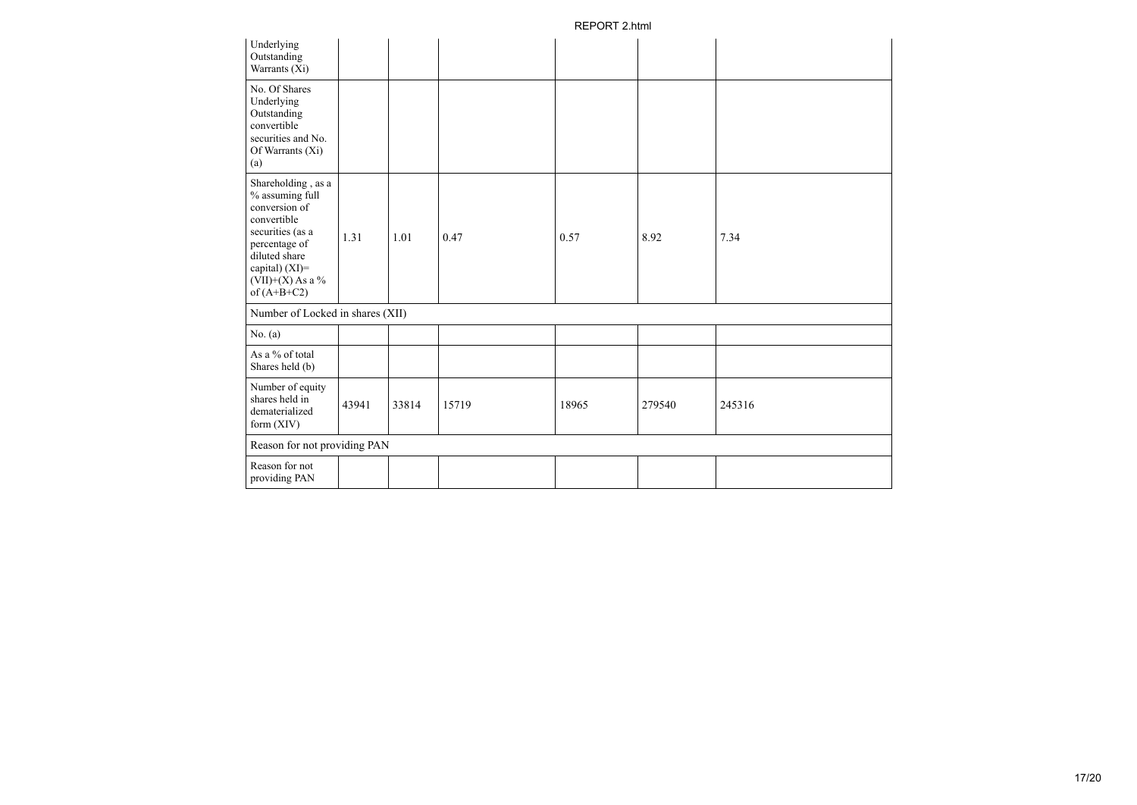| Underlying<br>Outstanding<br>Warrants (Xi)                                                                                                                                              |       |       |       |       |        |        |
|-----------------------------------------------------------------------------------------------------------------------------------------------------------------------------------------|-------|-------|-------|-------|--------|--------|
| No. Of Shares<br>Underlying<br>Outstanding<br>convertible<br>securities and No.<br>Of Warrants (Xi)<br>(a)                                                                              |       |       |       |       |        |        |
| Shareholding, as a<br>$\%$ assuming full<br>conversion of<br>convertible<br>securities (as a<br>percentage of<br>diluted share<br>capital) (XI)=<br>$(VII)+(X)$ As a %<br>of $(A+B+C2)$ | 1.31  | 1.01  | 0.47  | 0.57  | 8.92   | 7.34   |
| Number of Locked in shares (XII)                                                                                                                                                        |       |       |       |       |        |        |
| No. (a)                                                                                                                                                                                 |       |       |       |       |        |        |
| As a % of total<br>Shares held (b)                                                                                                                                                      |       |       |       |       |        |        |
| Number of equity<br>shares held in<br>dematerialized<br>form $(XIV)$                                                                                                                    | 43941 | 33814 | 15719 | 18965 | 279540 | 245316 |
| Reason for not providing PAN                                                                                                                                                            |       |       |       |       |        |        |
| Reason for not<br>providing PAN                                                                                                                                                         |       |       |       |       |        |        |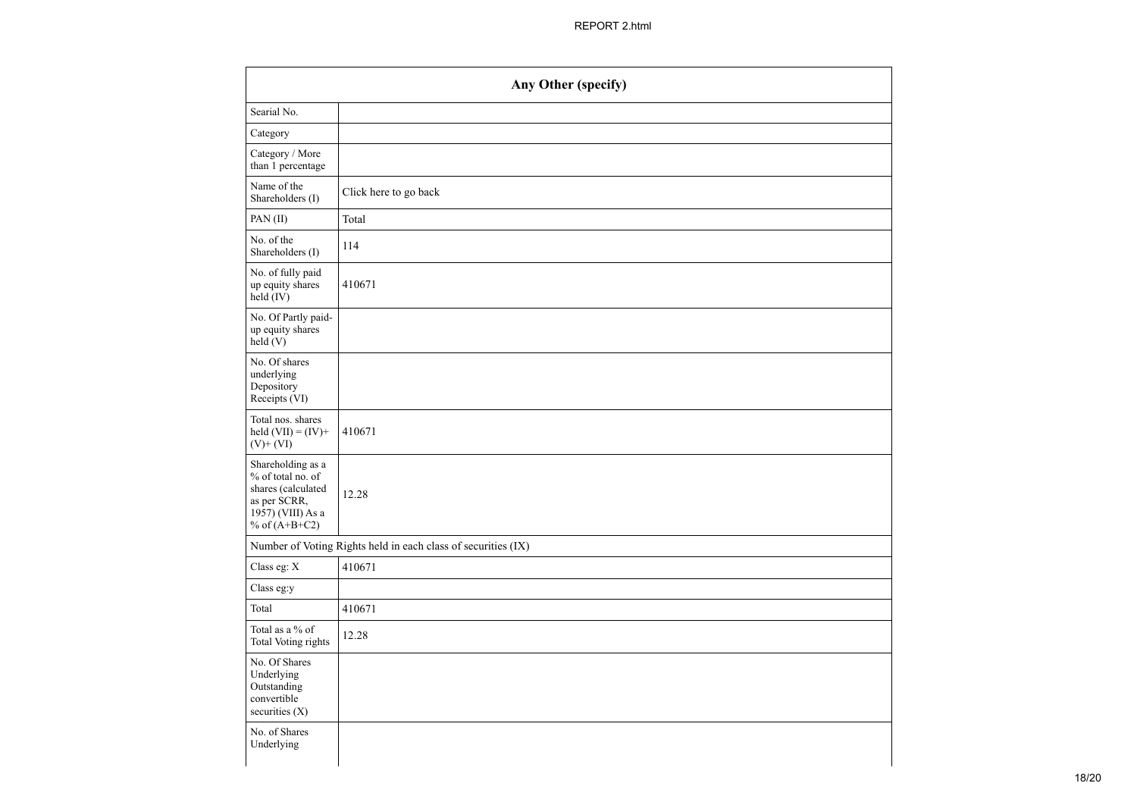|                                                                                                                      | Any Other (specify)                                           |
|----------------------------------------------------------------------------------------------------------------------|---------------------------------------------------------------|
| Searial No.                                                                                                          |                                                               |
| Category                                                                                                             |                                                               |
| Category / More<br>than 1 percentage                                                                                 |                                                               |
| Name of the<br>Shareholders (I)                                                                                      | Click here to go back                                         |
| PAN(II)                                                                                                              | Total                                                         |
| No. of the<br>Shareholders (I)                                                                                       | 114                                                           |
| No. of fully paid<br>up equity shares<br>$\text{held} (IV)$                                                          | 410671                                                        |
| No. Of Partly paid-<br>up equity shares<br>held $(V)$                                                                |                                                               |
| No. Of shares<br>underlying<br>Depository<br>Receipts (VI)                                                           |                                                               |
| Total nos. shares<br>held $(VII) = (IV) +$<br>$(V)+(VI)$                                                             | 410671                                                        |
| Shareholding as a<br>% of total no. of<br>shares (calculated<br>as per SCRR,<br>1957) (VIII) As a<br>% of $(A+B+C2)$ | 12.28                                                         |
|                                                                                                                      | Number of Voting Rights held in each class of securities (IX) |
| Class eg: $X$                                                                                                        | 410671                                                        |
| Class eg:y                                                                                                           |                                                               |
| Total                                                                                                                | 410671                                                        |
| Total as a % of<br>Total Voting rights                                                                               | 12.28                                                         |
| No. Of Shares<br>Underlying<br>Outstanding<br>convertible<br>securities $(X)$                                        |                                                               |
| No. of Shares<br>Underlying                                                                                          |                                                               |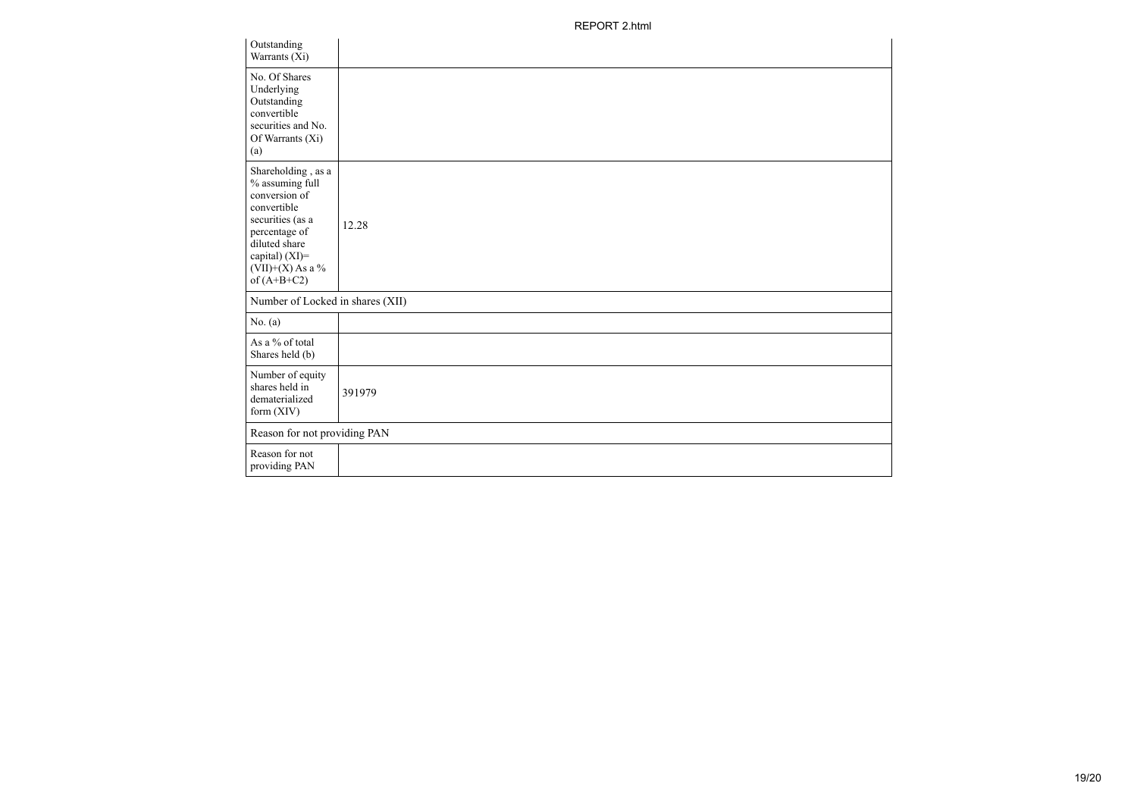| Outstanding<br>Warrants (Xi)                                                                                                                                                         |        |
|--------------------------------------------------------------------------------------------------------------------------------------------------------------------------------------|--------|
| No. Of Shares<br>Underlying<br>Outstanding<br>convertible<br>securities and No.<br>Of Warrants (Xi)<br>(a)                                                                           |        |
| Shareholding, as a<br>% assuming full<br>conversion of<br>convertible<br>securities (as a<br>percentage of<br>diluted share<br>capital) (XI)=<br>$(VII)+(X)$ As a %<br>of $(A+B+C2)$ | 12.28  |
| Number of Locked in shares (XII)                                                                                                                                                     |        |
| No. (a)                                                                                                                                                                              |        |
| As a % of total<br>Shares held (b)                                                                                                                                                   |        |
| Number of equity<br>shares held in<br>dematerialized<br>form $(XIV)$                                                                                                                 | 391979 |
| Reason for not providing PAN                                                                                                                                                         |        |
| Reason for not<br>providing PAN                                                                                                                                                      |        |